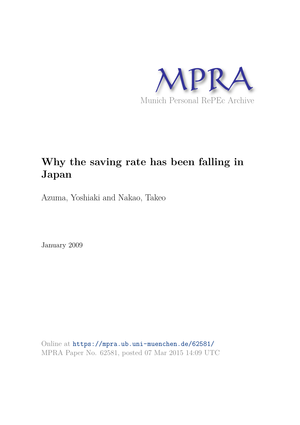

# **Why the saving rate has been falling in Japan**

Azuma, Yoshiaki and Nakao, Takeo

January 2009

Online at https://mpra.ub.uni-muenchen.de/62581/ MPRA Paper No. 62581, posted 07 Mar 2015 14:09 UTC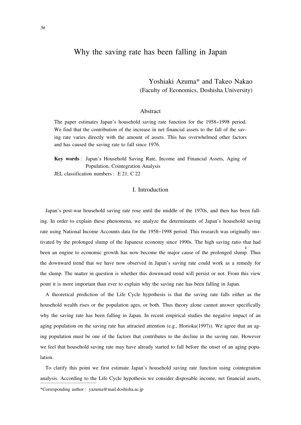# Why the saving rate has been falling in Japan

Yoshiaki Azuma\* and Takeo Nakao (Faculty of Economics, Doshisha University)

# Abstract

The paper estimates Japan's household saving rate function for the 1958−1998 period. We find that the contribution of the increase in net financial assets to the fall of the saving rate varies directly with the amount of assets. This has overwhelmed other factors and has caused the saving rate to fall since 1976.

**Key words** : Japan's Household Saving Rate, Income and Financial Assets, Aging of Population, Cointegration Analysis

JEL classification numbers : E 21, C 22

# I. Introduction

Japan's post-war household saving rate rose until the middle of the 1970s, and then has been falling. In order to explain these phenomena, we analyze the determinants of Japan's household saving rate using National Income Accounts data for the 1958−1998 period. This research was originally motivated by the prolonged slump of the Japanese economy since 1990s. The high saving ratio that had been an engine to economic growth has now become the major cause of the prolonged slump. Thus the downward trend that we have now observed in Japan's saving rate could work as a remedy for the slump. The matter in question is whether this downward trend will persist or not. From this view point it is more important than ever to explain why the saving rate has been falling in Japan.

A theoretical prediction of the Life Cycle hypothesis is that the saving rate falls either as the household wealth rises or the population ages, or both. Thus theory alone cannot answer specifically why the saving rate has been falling in Japan. In recent empirical studies the negative impact of an aging population on the saving rate has attracted attention (e.g., Horioka(1997)). We agree that an aging population must be one of the factors that contributes to the decline in the saving rate. However we feel that household saving rate may have already started to fall before the onset of an aging population.

To clarify this point we first estimate Japan's household saving rate function using cointegration analysis. According to the Life Cycle hypothesis we consider disposable income, net financial assets, ──────────<del>────</del>

\*Corresponding author : yazuma@mail.doshisha.ac.jp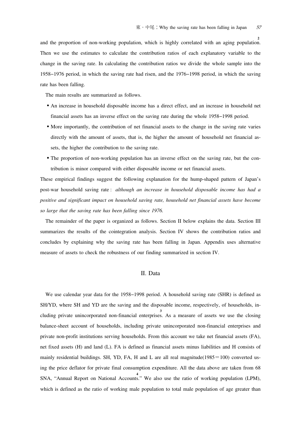and the proportion of non-working population, which is highly correlated with an aging population. Then we use the estimates to calculate the contribution ratios of each explanatory variable to the change in the saving rate. In calculating the contribution ratios we divide the whole sample into the 1958−1976 period, in which the saving rate had risen, and the 1976−1998 period, in which the saving rate has been falling.

The main results are summarized as follows.

- An increase in household disposable income has a direct effect, and an increase in household net financial assets has an inverse effect on the saving rate during the whole 1958−1998 period.
- More importantly, the contribution of net financial assets to the change in the saving rate varies directly with the amount of assets, that is, the higher the amount of household net financial assets, the higher the contribution to the saving rate.
- The proportion of non-working population has an inverse effect on the saving rate, but the contribution is minor compared with either disposable income or net financial assets.

These empirical findings suggest the following explanation for the hump-shaped pattern of Japan's post-war household saving rate : *although an increase in household disposable income has had a positive and significant impact on household saving rate, household net financial assets have become so large that the saving rate has been falling since 1976.*

The remainder of the paper is organized as follows. Section II below explains the data. Section III summarizes the results of the cointegration analysis. Section IV shows the contribution ratios and concludes by explaining why the saving rate has been falling in Japan. Appendix uses alternative measure of assets to check the robustness of our finding summarized in section IV.

# II. Data

We use calendar year data for the 1958−1998 period. A household saving rate (SHR) is defined as SH/YD, where SH and YD are the saving and the disposable income, respectively, of households, including private unincorporated non-financial enterprises. As a measure of assets we use the closing balance-sheet account of households, including private unincorporated non-financial enterprises and private non-profit institutions serving households. From this account we take net financial assets (FA), net fixed assets (H) and land (L). FA is defined as financial assets minus liabilities and H consists of mainly residential buildings. SH, YD, FA, H and L are all real magnitude( $1985=100$ ) converted using the price deflator for private final consumption expenditure. All the data above are taken from 68 SNA, "Annual Report on National Accounts." We also use the ratio of working population (LPM), which is defined as the ratio of working male population to total male population of age greater than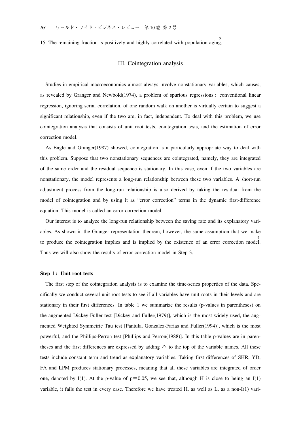15. The remaining fraction is positively and highly correlated with population aging. **5**

# III. Cointegration analysis

Studies in empirical macroeconomics almost always involve nonstationary variables, which causes, as revealed by Granger and Newbold(1974), a problem of spurious regressions : conventional linear regression, ignoring serial correlation, of one random walk on another is virtually certain to suggest a significant relationship, even if the two are, in fact, independent. To deal with this problem, we use cointegration analysis that consists of unit root tests, cointegration tests, and the estimation of error correction model.

As Engle and Granger(1987) showed, cointegration is a particularly appropriate way to deal with this problem. Suppose that two nonstationary sequences are cointegrated, namely, they are integrated of the same order and the residual sequence is stationary. In this case, even if the two variables are nonstationary, the model represents a long-run relationship between these two variables. A short-run adjustment process from the long-run relationship is also derived by taking the residual from the model of cointegration and by using it as "error correction" terms in the dynamic first-difference equation. This model is called an error correction model.

Our interest is to analyze the long-run relationship between the saving rate and its explanatory variables. As shown in the Granger representation theorem, however, the same assumption that we make to produce the cointegration implies and is implied by the existence of an error correction model. **6** Thus we will also show the results of error correction model in Step 3.

#### **Step 1 : Unit root tests**

The first step of the cointegration analysis is to examine the time-series properties of the data. Specifically we conduct several unit root tests to see if all variables have unit roots in their levels and are stationary in their first differences. In table 1 we summarize the results (p-values in parentheses) on the augmented Dickey-Fuller test [Dickey and Fuller(1979)], which is the most widely used, the augmented Weighted Symmetric Tau test [Pantula, Gonzalez-Farias and Fuller(1994)], which is the most powerful, and the Phillips-Perron test [Phillips and Perron(1988)]. In this table p-values are in parentheses and the first differences are expressed by adding  $\triangle$  to the top of the variable names. All these tests include constant term and trend as explanatory variables. Taking first differences of SHR, YD, FA and LPM produces stationary processes, meaning that all these variables are integrated of order one, denoted by I(1). At the p-value of  $p=0.05$ , we see that, although H is close to being an I(1) variable, it fails the test in every case. Therefore we have treated H, as well as L, as a non-I(1) vari-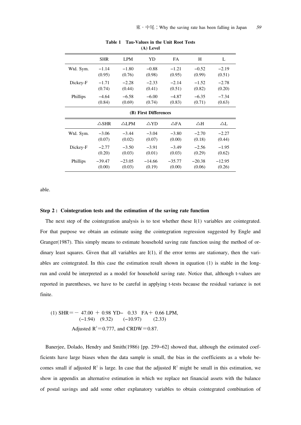| $(41)$ Level                                                                                             |            |            |          |           |          |          |  |  |  |
|----------------------------------------------------------------------------------------------------------|------------|------------|----------|-----------|----------|----------|--|--|--|
|                                                                                                          | <b>SHR</b> | <b>LPM</b> | YD       | <b>FA</b> | H        | L        |  |  |  |
| Wtd. Sym.                                                                                                | $-1.14$    | $-1.80$    | $-0.88$  | $-1.21$   | $-0.52$  | $-2.19$  |  |  |  |
|                                                                                                          | (0.95)     | (0.76)     | (0.98)   | (0.95)    | (0.99)   | (0.51)   |  |  |  |
| Dickey-F                                                                                                 | $-1.71$    | $-2.28$    | $-2.33$  | $-2.14$   | $-1.52$  | $-2.78$  |  |  |  |
|                                                                                                          | (0.74)     | (0.44)     | (0.41)   | (0.51)    | (0.82)   | (0.20)   |  |  |  |
| Phillips                                                                                                 | $-4.64$    | $-6.58$    | $-6.00$  | $-4.87$   | $-6.35$  | $-7.34$  |  |  |  |
|                                                                                                          | (0.84)     | (0.69)     | (0.74)   | (0.83)    | (0.71)   | (0.63)   |  |  |  |
| (B) First Differences                                                                                    |            |            |          |           |          |          |  |  |  |
| $\triangle$ SHR<br>$\triangle$ LPM<br>$\triangle$ YD<br>$\triangle$ FA<br>$\triangle H$<br>$\triangle$ L |            |            |          |           |          |          |  |  |  |
| Wtd. Sym.                                                                                                | $-3.06$    | $-3.44$    | $-3.04$  | $-3.80$   | $-2.70$  | $-2.27$  |  |  |  |
|                                                                                                          | (0.07)     | (0.02)     | (0.07)   | (0.00)    | (0.18)   | (0.44)   |  |  |  |
| Dickey-F                                                                                                 | $-2.77$    | $-3.50$    | $-3.91$  | $-3.49$   | $-2.56$  | $-1.95$  |  |  |  |
|                                                                                                          | (0.20)     | (0.03)     | (0.01)   | (0.03)    | (0.29)   | (0.62)   |  |  |  |
| Phillips                                                                                                 | $-39.47$   | $-23.05$   | $-14.66$ | $-35.77$  | $-20.38$ | $-12.95$ |  |  |  |
|                                                                                                          | (0.00)     | (0.03)     | (0.19)   | (0.00)    | (0.06)   | (0.26)   |  |  |  |

**Table 1 Tau-Values in the Unit Root Tests**  $(A)$  Level

able.

#### **Step 2 : Cointegration tests and the estimation of the saving rate function**

The next step of the cointegration analysis is to test whether these I(1) variables are cointegrated. For that purpose we obtain an estimate using the cointegration regression suggested by Engle and Granger(1987). This simply means to estimate household saving rate function using the method of ordinary least squares. Given that all variables are  $I(1)$ , if the error terms are stationary, then the variables are cointegrated. In this case the estimation result shown in equation (1) is stable in the longrun and could be interpreted as a model for household saving rate. Notice that, although t-values are reported in parentheses, we have to be careful in applying t-tests because the residual variance is not finite.

(1) 
$$
SHR = -47.00 + 0.98 \text{ YD} - 0.33 \text{ FA} + 0.66 \text{ LPM},
$$

$$
(-1.94) (9.32) (-10.97) (2.33)
$$
 adjusted R<sup>2</sup>=0.777, and CRDW=0.87.

Banerjee, Dolado, Hendry and Smith(1986) [pp. 259−62] showed that, although the estimated coefficients have large biases when the data sample is small, the bias in the coefficients as a whole becomes small if adjusted  $\mathbb{R}^2$  is large. In case that the adjusted  $\mathbb{R}^2$  might be small in this estimation, we show in appendix an alternative estimation in which we replace net financial assets with the balance of postal savings and add some other explanatory variables to obtain cointegrated combination of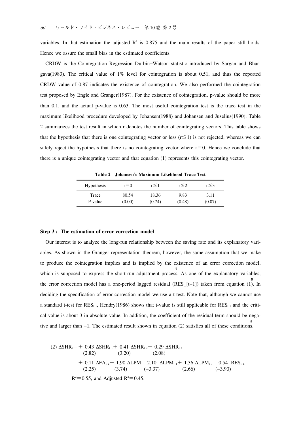variables. In that estimation the adjusted  $\mathbb{R}^2$  is 0.875 and the main results of the paper still holds. Hence we assure the small bias in the estimated coefficients.

CRDW is the Cointegration Regression Durbin−Watson statistic introduced by Sargan and Bhargava(1983). The critical value of  $1\%$  level for cointegration is about 0.51, and thus the reported CRDW value of 0.87 indicates the existence of cointegration. We also performed the cointegration test proposed by Engle and Granger(1987). For the existence of cointegration, p-value should be more than 0.1, and the actual p-value is 0.63. The most useful cointegration test is the trace test in the maximum likelihood procedure developed by Johansen(1988) and Johansen and Juselius(1990). Table 2 summarizes the test result in which r denotes the number of cointegrating vectors. This table shows that the hypothesis that there is one cointegrating vector or less ( $r \le 1$ ) is not rejected, whereas we can safely reject the hypothesis that there is no cointegrating vector where  $r=0$ . Hence we conclude that there is a unique cointegrating vector and that equation (1) represents this cointegrating vector.

**Table 2 Johansen's Maximum Likelihood Trace Test**

| <b>Hypothesis</b> | $r = 0$ | $r \leq 1$ | $r \leq 2$ | $r \leq 3$ |
|-------------------|---------|------------|------------|------------|
| Trace             | 80.54   | 18.36      | 9.83       | 3.11       |
| P-value           | (0.00)  | (0.74)     | (0.48)     | (0.07)     |

#### **Step 3 : The estimation of error correction model**

Our interest is to analyze the long-run relationship between the saving rate and its explanatory variables. As shown in the Granger representation theorem, however, the same assumption that we make to produce the cointegration implies and is implied by the existence of an error correction model, which is supposed to express the short-run adjustment process. As one of the explanatory variables, **7** the error correction model has a one-period lagged residual (RES\_[t−1]) taken from equation (1). In deciding the specification of error correction model we use a t-test. Note that, although we cannot use a standard t-test for RES<sub>t−1</sub>, Hendry(1986) shows that t-value is still applicable for RES<sub>t−1</sub> and the critical value is about 3 in absolute value. In addition, the coefficient of the residual term should be negative and larger than −1. The estimated result shown in equation (2) satisfies all of these conditions. **9**

(2) 
$$
\triangle
$$
SHR<sub>i</sub>= + 0.43  $\triangle$ SHR<sub>i-1</sub> + 0.41  $\triangle$ SHR<sub>i-3</sub> + 0.29  $\triangle$ SHR<sub>i-4</sub>  
\n(2.82) (3.20) (2.08)  
\n+ 0.11  $\triangle$ FA<sub>i-2</sub> + 1.90  $\triangle$ LPM – 2.10  $\triangle$ LPM<sub>i-1</sub> + 1.36  $\triangle$ LPM<sub>i-1</sub> – 0.54 RES<sub>i-1</sub>,  
\n(2.25) (3.74) (-3.37) (2.66) (-3.90)  
\nR<sup>2</sup>=0.55, and Adjusted R<sup>2</sup>=0.45.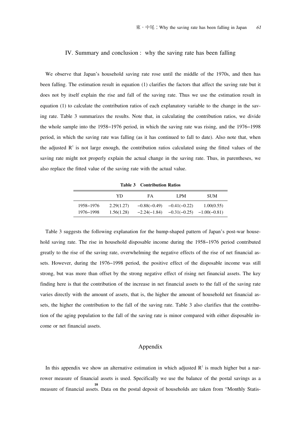#### IV. Summary and conclusion : why the saving rate has been falling

We observe that Japan's household saving rate rose until the middle of the 1970s, and then has been falling. The estimation result in equation (1) clarifies the factors that affect the saving rate but it does not by itself explain the rise and fall of the saving rate. Thus we use the estimation result in equation (1) to calculate the contribution ratios of each explanatory variable to the change in the saving rate. Table 3 summarizes the results. Note that, in calculating the contribution ratios, we divide the whole sample into the 1958−1976 period, in which the saving rate was rising, and the 1976−1998 period, in which the saving rate was falling (as it has continued to fall to date). Also note that, when the adjusted  $\mathbb{R}^2$  is not large enough, the contribution ratios calculated using the fitted values of the saving rate might not properly explain the actual change in the saving rate. Thus, in parentheses, we also replace the fitted value of the saving rate with the actual value.

**Table 3 Contribution Ratios**

|           | YD         | FA             | LPM            | <b>SUM</b>     |
|-----------|------------|----------------|----------------|----------------|
| 1958–1976 | 2.29(1.27) | $-0.88(-0.49)$ | $-0.41(-0.22)$ | 1.00(0.55)     |
| 1976–1998 | 1.56(1.28) | $-2.24(-1.84)$ | $-0.31(-0.25)$ | $-1.00(-0.81)$ |

Table 3 suggests the following explanation for the hump-shaped pattern of Japan's post-war household saving rate. The rise in household disposable income during the 1958−1976 period contributed greatly to the rise of the saving rate, overwhelming the negative effects of the rise of net financial assets. However, during the 1976−1998 period, the positive effect of the disposable income was still strong, but was more than offset by the strong negative effect of rising net financial assets. The key finding here is that the contribution of the increase in net financial assets to the fall of the saving rate varies directly with the amount of assets, that is, the higher the amount of household net financial assets, the higher the contribution to the fall of the saving rate. Table 3 also clarifies that the contribution of the aging population to the fall of the saving rate is minor compared with either disposable income or net financial assets.

# Appendix

In this appendix we show an alternative estimation in which adjusted  $\mathbb{R}^2$  is much higher but a narrower measure of financial assets is used. Specifically we use the balance of the postal savings as a <sup>10</sup><br>measure of financial assets. Data on the postal deposit of households are taken from "Monthly Statis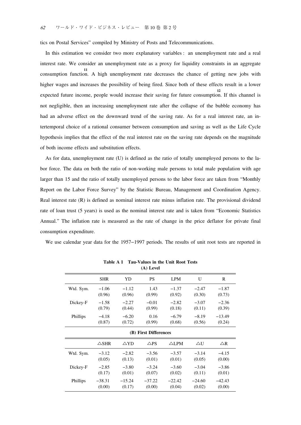tics on Postal Services" compiled by Ministry of Posts and Telecommunications.

In this estimation we consider two more explanatory variables : an unemployment rate and a real interest rate. We consider an unemployment rate as a proxy for liquidity constraints in an aggregate consumption function. A high unemployment rate decreases the chance of getting new jobs with **11** higher wages and increases the possibility of being fired. Since both of these effects result in a lower expected future income, people would increase their saving for future consumption. If this channel is **12** not negligible, then an increasing unemployment rate after the collapse of the bubble economy has had an adverse effect on the downward trend of the saving rate. As for a real interest rate, an intertemporal choice of a rational consumer between consumption and saving as well as the Life Cycle hypothesis implies that the effect of the real interest rate on the saving rate depends on the magnitude of both income effects and substitution effects.

As for data, unemployment rate (U) is defined as the ratio of totally unemployed persons to the labor force. The data on both the ratio of non-working male persons to total male population with age larger than 15 and the ratio of totally unemployed persons to the labor force are taken from "Monthly Report on the Labor Force Survey" by the Statistic Bureau, Management and Coordination Agency. Real interest rate (R) is defined as nominal interest rate minus inflation rate. The provisional dividend rate of loan trust (5 years) is used as the nominal interest rate and is taken from "Economic Statistics Annual." The inflation rate is measured as the rate of change in the price deflator for private final consumption expenditure.

We use calendar year data for the 1957−1997 periods. The results of unit root tests are reported in

| (A) Level             |                                                                                                          |          |          |            |          |          |  |  |  |  |
|-----------------------|----------------------------------------------------------------------------------------------------------|----------|----------|------------|----------|----------|--|--|--|--|
|                       | <b>SHR</b>                                                                                               | YD       | PS       | <b>LPM</b> | U        | R        |  |  |  |  |
| Wtd. Sym.             | $-1.06$                                                                                                  | $-1.12$  | 1.43     | $-1.37$    | $-2.47$  | $-1.87$  |  |  |  |  |
|                       | (0.96)                                                                                                   | (0.96)   | (0.99)   | (0.92)     | (0.30)   | (0.73)   |  |  |  |  |
| Dickey-F              | $-1.58$                                                                                                  | $-2.27$  | $-0.01$  | $-2.82$    | $-3.07$  | $-2.36$  |  |  |  |  |
|                       | (0.79)                                                                                                   | (0.44)   | (0.99)   | (0.18)     | (0.11)   | (0.39)   |  |  |  |  |
| Phillips              | $-4.18$                                                                                                  | $-6.20$  | 0.16     | $-6.79$    | $-8.19$  | $-13.49$ |  |  |  |  |
|                       | (0.87)                                                                                                   | (0.72)   | (0.99)   | (0.68)     | (0.56)   | (0.24)   |  |  |  |  |
| (B) First Differences |                                                                                                          |          |          |            |          |          |  |  |  |  |
|                       | $\triangle$ SHR<br>$\triangle$ YD<br>$\triangle$ LPM<br>$\triangle U$<br>$\triangle$ R<br>$\triangle PS$ |          |          |            |          |          |  |  |  |  |
| Wtd. Sym.             | $-3.12$                                                                                                  | $-2.82$  | $-3.56$  | $-3.57$    | $-3.14$  | $-4.15$  |  |  |  |  |
|                       | (0.05)                                                                                                   | (0.13)   | (0.01)   | (0.01)     | (0.05)   | (0.00)   |  |  |  |  |
| Dickey-F              | $-2.85$                                                                                                  | $-3.80$  | $-3.24$  | $-3.60$    | $-3.04$  | $-3.86$  |  |  |  |  |
|                       | (0.17)                                                                                                   | (0.01)   | (0.07)   | (0.02)     | (0.11)   | (0.01)   |  |  |  |  |
| Phillips              | $-38.31$                                                                                                 | $-15.24$ | $-37.22$ | $-22.42$   | $-24.60$ | $-42.43$ |  |  |  |  |
|                       | (0.00)                                                                                                   | (0.17)   | (0.00)   | (0.04)     | (0.02)   | (0.00)   |  |  |  |  |

**Table A 1 Tau-Values in the Unit Root Tests (A) Level**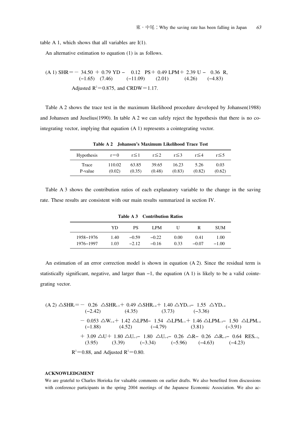table A 1, which shows that all variables are  $I(1)$ .

An alternative estimation to equation (1) is as follows.

(A 1) SHR = 
$$
-34.50 + 0.79 \text{ YD} - 0.12 \text{ PS} + 0.49 \text{ LPM} + 2.39 \text{ U} - 0.36 \text{ R},
$$
  
\n $(-1.65) (7.46) (-11.09) (2.01) (4.26) (-4.83)$   
\nAdjusted R<sup>2</sup>=0.875, and CRDW=1.17.

Table A 2 shows the trace test in the maximum likelihood procedure developed by Johansen(1988) and Johansen and Juselius(1990). In table A 2 we can safely reject the hypothesis that there is no cointegrating vector, implying that equation (A 1) represents a cointegrating vector.

**Table A 2 Johansen's Maximum Likelihood Trace Test**

| <b>Hypothesis</b> | $r = 0$ | $r \leq 1$ | $r \leq 2$ | $r \leq 3$ | $r \leq 4$ | r≤5    |
|-------------------|---------|------------|------------|------------|------------|--------|
| Trace             | 110.02  | 63.85      | 39.65      | 16.23      | 5.26       | 0.03   |
| P-value           | (0.02)  | (0.35)     | (0.48)     | (0.83)     | (0.82)     | (0.62) |

Table A 3 shows the contribution ratios of each explanatory variable to the change in the saving rate. These results are consistent with our main results summarized in section IV.

| TUME ITO CONTRIMENTE INTER |              |                    |                    |              |                 |                 |  |
|----------------------------|--------------|--------------------|--------------------|--------------|-----------------|-----------------|--|
|                            | YD           | PS                 | LPM                | U            | R               | <b>SUM</b>      |  |
| 1958–1976<br>1976-1997     | 1.40<br>1.03 | $-0.59$<br>$-2.12$ | $-0.22$<br>$-0.16$ | 0.00<br>0.33 | 0.41<br>$-0.07$ | 1.00<br>$-1.00$ |  |

**Table A 3 Contribution Ratios**

An estimation of an error correction model is shown in equation (A 2). Since the residual term is statistically significant, negative, and larger than −1, the equation (A 1) is likely to be a valid cointegrating vector.

$$
(A 2) \triangle SHR_{i} = -0.26 \triangle SHR_{i-3} + 0.49 \triangle SHR_{i+4} + 1.40 \triangle YD_{i-3} - 1.55 \triangle YD_{i+4}
$$
  
\n
$$
(-2.42) \qquad (4.35) \qquad (3.73) \qquad (-3.36)
$$
  
\n
$$
-0.053 \triangle W_{i+4} + 1.42 \triangle LPM - 1.54 \triangle LPM_{i-1} + 1.46 \triangle LPM_{i-3} - 1.50 \triangle LPM_{i+4}
$$
  
\n
$$
(-1.88) \qquad (4.52) \qquad (-4.79) \qquad (3.81) \qquad (-3.91)
$$
  
\n
$$
+ 3.09 \triangle U + 1.80 \triangle U_{i-3} - 1.80 \triangle U_{i-4} - 0.26 \triangle R - 0.26 \triangle R_{i-3} - 0.64 \text{ RES}_{i-1},
$$
  
\n
$$
(3.95) \qquad (3.39) \qquad (-3.34) \qquad (-5.96) \qquad (-4.63) \qquad (-4.23)
$$
  
\n
$$
R^{2} = 0.88, \text{ and adjusted } R^{2} = 0.80.
$$

### **ACKNOWLEDGMENT**

We are grateful to Charles Horioka for valuable comments on earlier drafts. We also benefited from discussions with conference participants in the spring 2004 meetings of the Japanese Economic Association. We also ac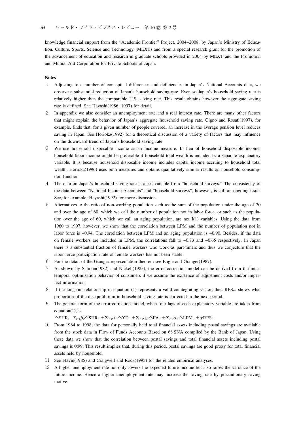knowledge financial support from the "Academic Frontier" Project, 2004−2008, by Japan's Ministry of Education, Culture, Sports, Science and Technology (MEXT) and from a special research grant for the promotion of the advancement of education and research in graduate schools provided in 2004 by MEXT and the Promotion and Mutual Aid Corporation for Private Schools of Japan.

#### **Notes**

- 1 Adjusting to a number of conceptual differences and deficiencies in Japan's National Accounts data, we observe a substantial reduction of Japan's household saving rate. Even so Japan's household saving rate is relatively higher than the comparable U.S. saving rate. This result obtains however the aggregate saving rate is defined. See Hayashi(1986, 1997) for detail.
- 2 In appendix we also consider an unemployment rate and a real interest rate. There are many other factors that might explain the behavior of Japan's aggregate household saving rate. Cigno and Rosati(1997), for example, finds that, for a given number of people covered, an increase in the average pension level reduces saving in Japan. See Horioka(1992) for a theoretical discussion of a variety of factors that may influence on the downward trend of Japan's household saving rate.
- 3 We use household disposable income as an income measure. In lieu of household disposable income, household labor income might be preferable if household total wealth is included as a separate explanatory variable. It is because household disposable income includes capital income accruing to household total wealth. Horioka(1996) uses both measures and obtains qualitatively similar results on household consumption function.
- 4 The data on Japan's household saving rate is also available from "household surveys." The consistency of the data between "National Income Accounts" and "household surveys", however, is still an ongoing issue. See, for example, Hayashi(1992) for more discussion.
- 5 Alternatives to the ratio of non-working population such as the sum of the population under the age of 20 and over the age of 60, which we call the number of population not in labor force, or such as the population over the age of 60, which we call an aging population, are not I(1) variables. Using the data from 1960 to 1997, however, we show that the correlation between LPM and the number of population not in labor force is −0.94. The correlation between LPM and an aging population is −0.90. Besides, if the data on female workers are included in LPM, the correlations fall to −0.73 and −0.65 respectively. In Japan there is a substantial fraction of female workers who work as part-timers and thus we conjecture that the labor force participation rate of female workers has not been stable.
- 6 For the detail of the Granger representation theorem see Engle and Granger(1987).
- 7 As shown by Salmon(1982) and Nickell(1985), the error correction model can be derived from the intertemporal optimization behavior of consumers if we assume the existence of adjustment costs and/or imperfect information.
- 8 If the long-run relationship in equation (1) represents a valid cointegrating vector, then RES<sub>t−1</sub> shows what proportion of the disequilibrium in household saving rate is corrected in the next period.
- 9 The general form of the error correction model, when four lags of each explanatory variable are taken from equation(1), is

 $\triangle\text{SHR}_{\cdot}=\Sigma_{i=1}\beta_i\triangle\text{SHR}_{\cdot\text{-i}}+\Sigma_{i=0}\alpha_{1i}\triangle\text{YD}_{\cdot\text{-i}}+\Sigma_{i=0}\alpha_{2i}\triangle\text{FA}_{\cdot\text{-i}}+\Sigma_{i=0}\alpha_{3i}\triangle\text{LPM}_{\cdot\text{-i}}+\gamma\text{RES}_{\cdot\text{-i}}.$ 

- 10 From 1964 to 1998, the data for personally held total financial assets including postal savings are available from the stock data in Flow of Funds Accounts Based on 68 SNA compiled by the Bank of Japan. Using these data we show that the correlation between postal savings and total financial assets including postal savings is 0.99. This result implies that, during this period, postal savings are good proxy for total financial assets held by household.
- 11 See Flavin(1985) and Craigwell and Rock(1995) for the related empirical analyses.
- 12 A higher unemployment rate not only lowers the expected future income but also raises the variance of the future income. Hence a higher unemployment rate may increase the saving rate by precautionary saving motive.